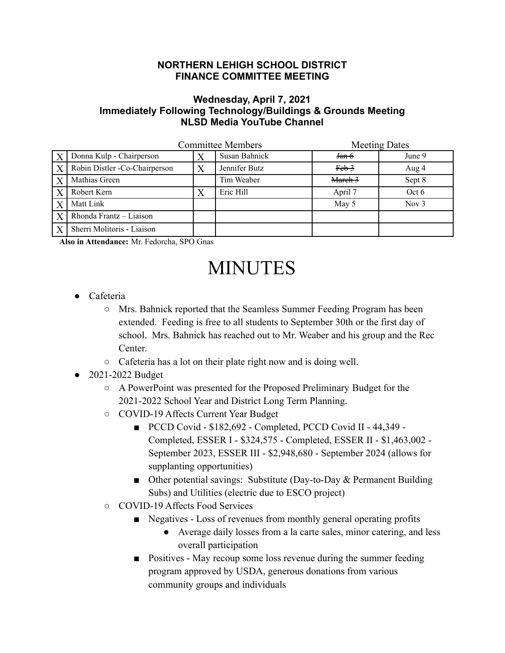## **NORTHERN LEHIGH SCHOOL DISTRICT FINANCE COMMITTEE MEETING**

## **Wednesday, April 7, 2021 Immediately Following Technology/Buildings & Grounds Meeting NLSD Media YouTube Channel**

|                  | <b>Committee Members</b>      |   |               | <b>Meeting Dates</b> |         |
|------------------|-------------------------------|---|---------------|----------------------|---------|
| $\boldsymbol{X}$ | Donna Kulp - Chairperson      |   | Susan Bahnick | J <sub>an</sub> 6    | June 9  |
| $\boldsymbol{X}$ | Robin Distler -Co-Chairperson | X | Jennifer Butz | $Feb-3$              | Aug 4   |
| $\boldsymbol{X}$ | Mathias Green                 |   | Tim Weaber    | March 3              | Sept 8  |
| $\overline{X}$   | Robert Kern                   |   | Eric Hill     | April 7              | Oct 6   |
| $\overline{X}$   | Matt Link                     |   |               | May 5                | Nov $3$ |
| $\overline{X}$   | Rhonda Frantz - Liaison       |   |               |                      |         |
| $\overline{X}$   | Sherri Molitoris - Liaison    |   |               |                      |         |

**Also in Attendance:** Mr. Fedorcha, SPO Gnas

## MINUTES

- Cafeteria
	- Mrs. Bahnick reported that the Seamless Summer Feeding Program has been extended. Feeding is free to all students to September 30th or the first day of school. Mrs. Bahnick has reached out to Mr. Weaber and his group and the Rec Center.
	- Cafeteria has a lot on their plate right now and is doing well.
- 2021-2022 Budget
	- A PowerPoint was presented for the Proposed Preliminary Budget for the 2021-2022 School Year and District Long Term Planning.
	- COVID-19 Affects Current Year Budget
		- PCCD Covid \$182,692 Completed, PCCD Covid II 44,349 -Completed, ESSER I - \$324,575 - Completed, ESSER II - \$1,463,002 - September 2023, ESSER III - \$2,948,680 - September 2024 (allows for supplanting opportunities)
		- Other potential savings: Substitute (Day-to-Day & Permanent Building Subs) and Utilities (electric due to ESCO project)
	- COVID-19 Affects Food Services
		- Negatives Loss of revenues from monthly general operating profits
			- Average daily losses from a la carte sales, minor catering, and less overall participation
		- Positives May recoup some loss revenue during the summer feeding program approved by USDA, generous donations from various community groups and individuals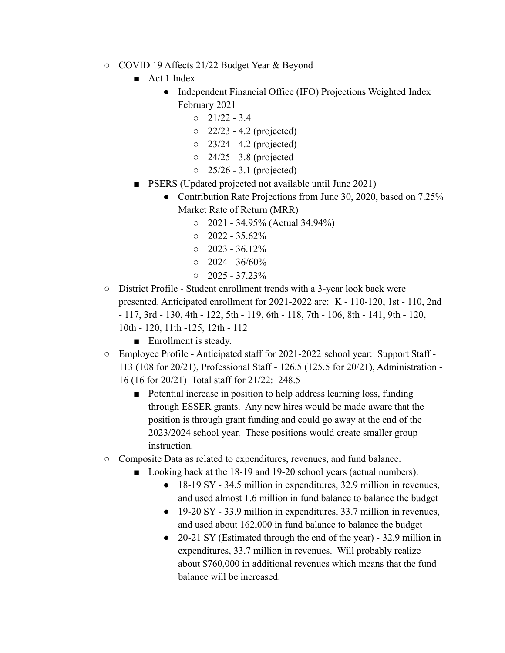- COVID 19 Affects 21/22 Budget Year & Beyond
	- Act 1 Index
		- Independent Financial Office (IFO) Projections Weighted Index February 2021
			- $0 \quad 21/22 3.4$
			- 22/23 4.2 (projected)
			- $\circ$  23/24 4.2 (projected)
			- $\circ$  24/25 3.8 (projected
			- $\circ$  25/26 3.1 (projected)
	- PSERS (Updated projected not available until June 2021)
		- Contribution Rate Projections from June 30, 2020, based on 7.25% Market Rate of Return (MRR)
			- 2021 34.95% (Actual 34.94%)
			- $0$  2022 35.62%
			- $0$  2023 36.12%
			- $\circ$  2024 36/60%
			- $\circ$  2025 37.23%
- District Profile Student enrollment trends with a 3-year look back were presented. Anticipated enrollment for 2021-2022 are: K - 110-120, 1st - 110, 2nd - 117, 3rd - 130, 4th - 122, 5th - 119, 6th - 118, 7th - 106, 8th - 141, 9th - 120, 10th - 120, 11th -125, 12th - 112
	- Enrollment is steady.
- Employee Profile Anticipated staff for 2021-2022 school year: Support Staff 113 (108 for 20/21), Professional Staff - 126.5 (125.5 for 20/21), Administration - 16 (16 for 20/21) Total staff for 21/22: 248.5
	- Potential increase in position to help address learning loss, funding through ESSER grants. Any new hires would be made aware that the position is through grant funding and could go away at the end of the 2023/2024 school year. These positions would create smaller group instruction.
- Composite Data as related to expenditures, revenues, and fund balance.
	- Looking back at the 18-19 and 19-20 school years (actual numbers).
		- 18-19 SY 34.5 million in expenditures, 32.9 million in revenues, and used almost 1.6 million in fund balance to balance the budget
		- 19-20 SY 33.9 million in expenditures, 33.7 million in revenues, and used about 162,000 in fund balance to balance the budget
		- 20-21 SY (Estimated through the end of the year) 32.9 million in expenditures, 33.7 million in revenues. Will probably realize about \$760,000 in additional revenues which means that the fund balance will be increased.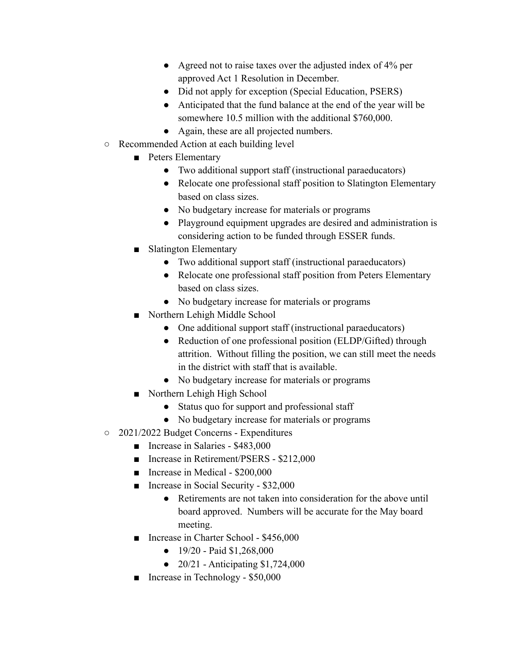- Agreed not to raise taxes over the adjusted index of 4% per approved Act 1 Resolution in December.
- Did not apply for exception (Special Education, PSERS)
- Anticipated that the fund balance at the end of the year will be somewhere 10.5 million with the additional \$760,000.
- Again, these are all projected numbers.
- Recommended Action at each building level
	- Peters Elementary
		- Two additional support staff (instructional paraeducators)
		- Relocate one professional staff position to Slatington Elementary based on class sizes.
		- No budgetary increase for materials or programs
		- Playground equipment upgrades are desired and administration is considering action to be funded through ESSER funds.
	- Slatington Elementary
		- Two additional support staff (instructional paraeducators)
		- Relocate one professional staff position from Peters Elementary based on class sizes.
		- No budgetary increase for materials or programs
	- Northern Lehigh Middle School
		- One additional support staff (instructional paraeducators)
		- Reduction of one professional position (ELDP/Gifted) through attrition. Without filling the position, we can still meet the needs in the district with staff that is available.
		- No budgetary increase for materials or programs
	- Northern Lehigh High School
		- Status quo for support and professional staff
		- No budgetary increase for materials or programs
- 2021/2022 Budget Concerns Expenditures
	- Increase in Salaries \$483,000
	- Increase in Retirement/PSERS \$212,000
	- Increase in Medical \$200,000
	- Increase in Social Security \$32,000
		- Retirements are not taken into consideration for the above until board approved. Numbers will be accurate for the May board meeting.
	- Increase in Charter School \$456,000
		- $\bullet$  19/20 Paid \$1,268,000
		- 20/21 Anticipating \$1,724,000
	- Increase in Technology \$50,000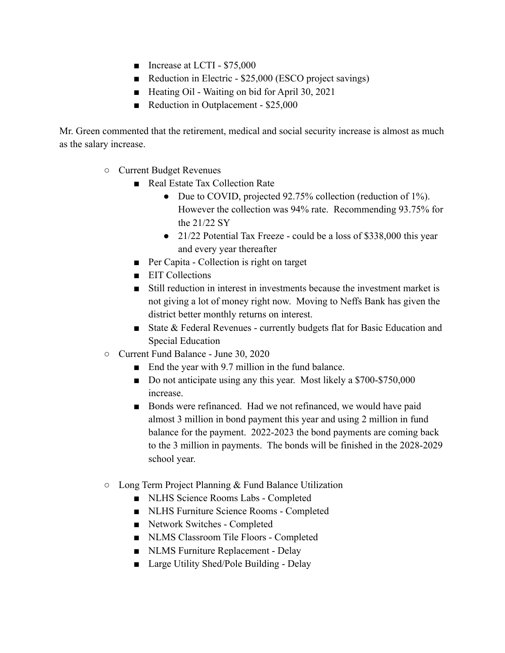- Increase at LCTI \$75,000
- Reduction in Electric \$25,000 (ESCO project savings)
- Heating Oil Waiting on bid for April 30, 2021
- Reduction in Outplacement \$25,000

Mr. Green commented that the retirement, medical and social security increase is almost as much as the salary increase.

- Current Budget Revenues
	- Real Estate Tax Collection Rate
		- Due to COVID, projected 92.75% collection (reduction of 1%). However the collection was 94% rate. Recommending 93.75% for the 21/22 SY
		- 21/22 Potential Tax Freeze could be a loss of \$338,000 this year and every year thereafter
	- Per Capita Collection is right on target
	- EIT Collections
	- Still reduction in interest in investments because the investment market is not giving a lot of money right now. Moving to Neffs Bank has given the district better monthly returns on interest.
	- State & Federal Revenues currently budgets flat for Basic Education and Special Education
- Current Fund Balance June 30, 2020
	- End the year with 9.7 million in the fund balance.
	- Do not anticipate using any this year. Most likely a \$700-\$750,000 increase.
	- Bonds were refinanced. Had we not refinanced, we would have paid almost 3 million in bond payment this year and using 2 million in fund balance for the payment. 2022-2023 the bond payments are coming back to the 3 million in payments. The bonds will be finished in the 2028-2029 school year.
- Long Term Project Planning & Fund Balance Utilization
	- NLHS Science Rooms Labs Completed
	- NLHS Furniture Science Rooms Completed
	- Network Switches Completed
	- NLMS Classroom Tile Floors Completed
	- NLMS Furniture Replacement Delay
	- Large Utility Shed/Pole Building Delay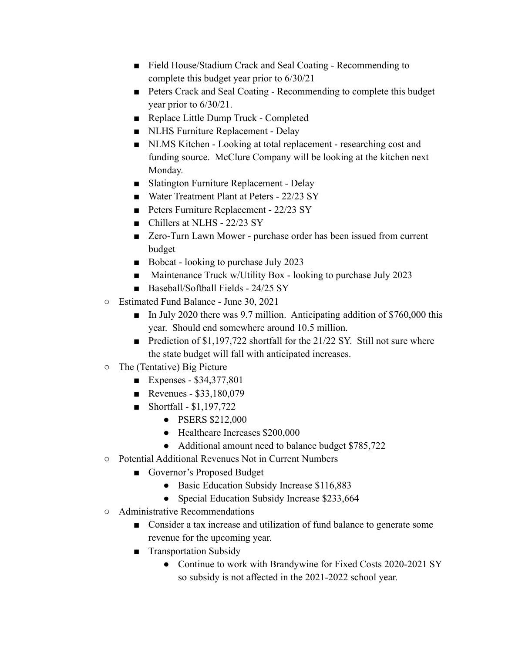- Field House/Stadium Crack and Seal Coating Recommending to complete this budget year prior to 6/30/21
- Peters Crack and Seal Coating Recommending to complete this budget year prior to 6/30/21.
- Replace Little Dump Truck Completed
- NLHS Furniture Replacement Delay
- NLMS Kitchen Looking at total replacement researching cost and funding source. McClure Company will be looking at the kitchen next Monday.
- Slatington Furniture Replacement Delay
- Water Treatment Plant at Peters 22/23 SY
- Peters Furniture Replacement 22/23 SY
- Chillers at NLHS 22/23 SY
- Zero-Turn Lawn Mower purchase order has been issued from current budget
- Bobcat looking to purchase July 2023
- Maintenance Truck w/Utility Box looking to purchase July 2023
- Baseball/Softball Fields 24/25 SY
- Estimated Fund Balance June 30, 2021
	- In July 2020 there was 9.7 million. Anticipating addition of \$760,000 this year. Should end somewhere around 10.5 million.
	- Prediction of \$1,197,722 shortfall for the 21/22 SY. Still not sure where the state budget will fall with anticipated increases.
- The (Tentative) Big Picture
	- Expenses \$34,377,801
	- Revenues \$33,180,079
	- Shortfall  $$1,197,722$ 
		- PSERS \$212,000
		- Healthcare Increases \$200,000
		- Additional amount need to balance budget \$785,722
- Potential Additional Revenues Not in Current Numbers
	- Governor's Proposed Budget
		- Basic Education Subsidy Increase \$116,883
		- Special Education Subsidy Increase \$233,664
- Administrative Recommendations
	- Consider a tax increase and utilization of fund balance to generate some revenue for the upcoming year.
	- Transportation Subsidy
		- Continue to work with Brandywine for Fixed Costs 2020-2021 SY so subsidy is not affected in the 2021-2022 school year.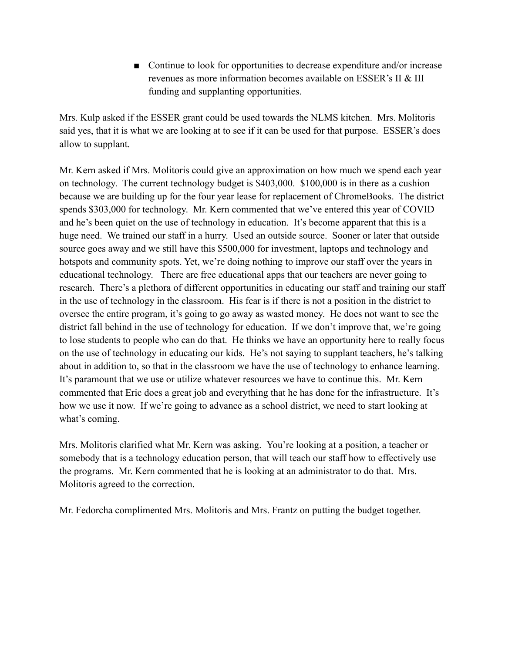■ Continue to look for opportunities to decrease expenditure and/or increase revenues as more information becomes available on ESSER's II & III funding and supplanting opportunities.

Mrs. Kulp asked if the ESSER grant could be used towards the NLMS kitchen. Mrs. Molitoris said yes, that it is what we are looking at to see if it can be used for that purpose. ESSER's does allow to supplant.

Mr. Kern asked if Mrs. Molitoris could give an approximation on how much we spend each year on technology. The current technology budget is \$403,000. \$100,000 is in there as a cushion because we are building up for the four year lease for replacement of ChromeBooks. The district spends \$303,000 for technology. Mr. Kern commented that we've entered this year of COVID and he's been quiet on the use of technology in education. It's become apparent that this is a huge need. We trained our staff in a hurry. Used an outside source. Sooner or later that outside source goes away and we still have this \$500,000 for investment, laptops and technology and hotspots and community spots. Yet, we're doing nothing to improve our staff over the years in educational technology. There are free educational apps that our teachers are never going to research. There's a plethora of different opportunities in educating our staff and training our staff in the use of technology in the classroom. His fear is if there is not a position in the district to oversee the entire program, it's going to go away as wasted money. He does not want to see the district fall behind in the use of technology for education. If we don't improve that, we're going to lose students to people who can do that. He thinks we have an opportunity here to really focus on the use of technology in educating our kids. He's not saying to supplant teachers, he's talking about in addition to, so that in the classroom we have the use of technology to enhance learning. It's paramount that we use or utilize whatever resources we have to continue this. Mr. Kern commented that Eric does a great job and everything that he has done for the infrastructure. It's how we use it now. If we're going to advance as a school district, we need to start looking at what's coming.

Mrs. Molitoris clarified what Mr. Kern was asking. You're looking at a position, a teacher or somebody that is a technology education person, that will teach our staff how to effectively use the programs. Mr. Kern commented that he is looking at an administrator to do that. Mrs. Molitoris agreed to the correction.

Mr. Fedorcha complimented Mrs. Molitoris and Mrs. Frantz on putting the budget together.